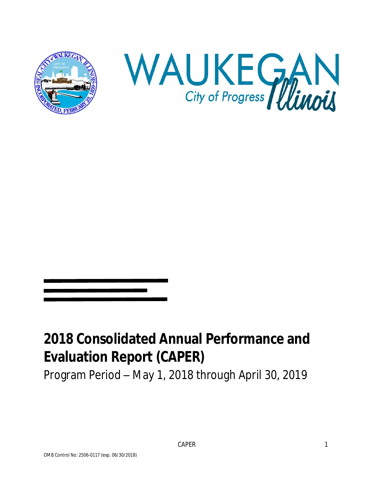



# **2018 Consolidated Annual Performance and Evaluation Report (CAPER)**

Program Period – May 1, 2018 through April 30, 2019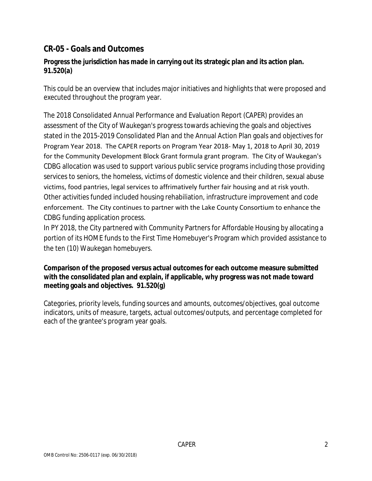# **CR-05 - Goals and Outcomes**

#### **Progress the jurisdiction has made in carrying out its strategic plan and its action plan. 91.520(a)**

This could be an overview that includes major initiatives and highlights that were proposed and executed throughout the program year.

The 2018 Consolidated Annual Performance and Evaluation Report (CAPER) provides an assessment of the City of Waukegan's progress towards achieving the goals and objectives stated in the 2015-2019 Consolidated Plan and the Annual Action Plan goals and objectives for Program Year 2018. The CAPER reports on Program Year 2018- May 1, 2018 to April 30, 2019 for the Community Development Block Grant formula grant program. The City of Waukegan's CDBG allocation was used to support various public service programs including those providing services to seniors, the homeless, victims of domestic violence and their children, sexual abuse victims, food pantries, legal services to affrimatively further fair housing and at risk youth. Other activities funded included housing rehabiliation, infrastructure improvement and code enforcement. The City continues to partner with the Lake County Consortium to enhance the CDBG funding application process.

In PY 2018, the City partnered with Community Partners for Affordable Housing by allocating a portion of its HOME funds to the First Time Homebuyer's Program which provided assistance to the ten (10) Waukegan homebuyers.

#### **Comparison of the proposed versus actual outcomes for each outcome measure submitted with the consolidated plan and explain, if applicable, why progress was not made toward meeting goals and objectives. 91.520(g)**

Categories, priority levels, funding sources and amounts, outcomes/objectives, goal outcome indicators, units of measure, targets, actual outcomes/outputs, and percentage completed for each of the grantee's program year goals.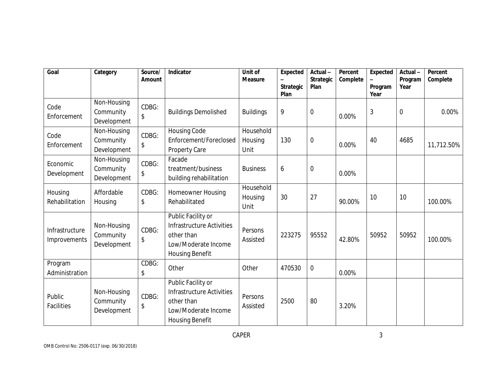| Goal                           | Category                                | Source/<br>Amount | Indicator                                                                                                      | Unit of<br><b>Measure</b>    | Expected<br><b>Strategic</b><br>Plan | Actual-<br><b>Strategic</b><br>Plan | Percent<br>Complete | <b>Expected</b><br>Program<br>Year | Actual-<br>Program<br>Year | Percent<br>Complete |
|--------------------------------|-----------------------------------------|-------------------|----------------------------------------------------------------------------------------------------------------|------------------------------|--------------------------------------|-------------------------------------|---------------------|------------------------------------|----------------------------|---------------------|
| Code<br>Enforcement            | Non-Housing<br>Community<br>Development | CDBG:<br>\$       | <b>Buildings Demolished</b>                                                                                    | <b>Buildings</b>             | 9                                    | $\mathbf 0$                         | 0.00%               | 3                                  | $\overline{0}$             | 0.00%               |
| Code<br>Enforcement            | Non-Housing<br>Community<br>Development | CDBG:<br>\$       | <b>Housing Code</b><br>Enforcement/Foreclosed<br>Property Care                                                 | Household<br>Housing<br>Unit | 130                                  | $\boldsymbol{0}$                    | 0.00%               | 40                                 | 4685                       | 11,712.50%          |
| Economic<br>Development        | Non-Housing<br>Community<br>Development | CDBG:<br>\$       | Facade<br>treatment/business<br>building rehabilitation                                                        | <b>Business</b>              | 6                                    | $\boldsymbol{0}$                    | 0.00%               |                                    |                            |                     |
| Housing<br>Rehabilitation      | Affordable<br>Housing                   | CDBG:<br>\$       | Homeowner Housing<br>Rehabilitated                                                                             | Household<br>Housing<br>Unit | 30                                   | 27                                  | 90.00%              | 10                                 | 10                         | 100.00%             |
| Infrastructure<br>Improvements | Non-Housing<br>Community<br>Development | CDBG:<br>\$       | Public Facility or<br>Infrastructure Activities<br>other than<br>Low/Moderate Income<br><b>Housing Benefit</b> | Persons<br>Assisted          | 223275                               | 95552                               | 42.80%              | 50952                              | 50952                      | 100.00%             |
| Program<br>Administration      |                                         | CDBG:<br>\$       | Other                                                                                                          | Other                        | 470530                               | $\mathbf 0$                         | 0.00%               |                                    |                            |                     |
| Public<br>Facilities           | Non-Housing<br>Community<br>Development | CDBG:<br>\$       | Public Facility or<br>Infrastructure Activities<br>other than<br>Low/Moderate Income<br><b>Housing Benefit</b> | Persons<br>Assisted          | 2500                                 | 80                                  | 3.20%               |                                    |                            |                     |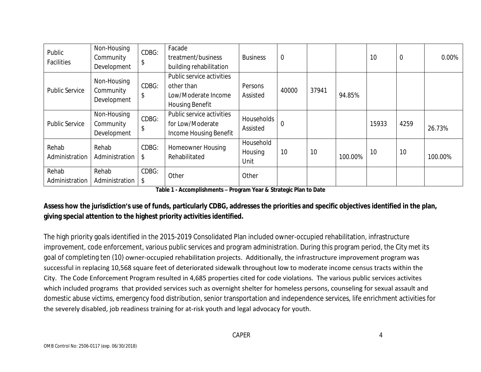| Public<br>Facilities    | Non-Housing<br>Community<br>Development | CDBG:<br>\$ | Facade<br>treatment/business<br>building rehabilitation                                  | <b>Business</b>              | $\overline{0}$ |       |         | 10    | $\mathbf 0$ | 0.00%   |
|-------------------------|-----------------------------------------|-------------|------------------------------------------------------------------------------------------|------------------------------|----------------|-------|---------|-------|-------------|---------|
| <b>Public Service</b>   | Non-Housing<br>Community<br>Development | CDBG:<br>\$ | Public service activities<br>other than<br>Low/Moderate Income<br><b>Housing Benefit</b> | Persons<br>Assisted          | 40000          | 37941 | 94.85%  |       |             |         |
| <b>Public Service</b>   | Non-Housing<br>Community<br>Development | CDBG:<br>\$ | Public service activities<br>for Low/Moderate<br>Income Housing Benefit                  | Households<br>Assisted       | $\overline{0}$ |       |         | 15933 | 4259        | 26.73%  |
| Rehab<br>Administration | Rehab<br>Administration                 | CDBG:<br>\$ | <b>Homeowner Housing</b><br>Rehabilitated                                                | Household<br>Housing<br>Unit | 10             | 10    | 100.00% | 10    | 10          | 100.00% |
| Rehab<br>Administration | Rehab<br>Administration                 | CDBG:<br>\$ | Other                                                                                    | Other                        |                |       |         |       |             |         |

**Table 1 - Accomplishments – Program Year & Strategic Plan to Date**

## **Assess how the jurisdiction's use of funds, particularly CDBG, addresses the priorities and specific objectives identified in the plan, giving special attention to the highest priority activities identified.**

The high priority goals identified in the 2015-2019 Consolidated Plan included owner-occupied rehabilitation, infrastructure improvement, code enforcement, various public services and program administration. During this program period, the City met its goal of completing ten (10) owner-occupied rehabilitation projects. Additionally, the infrastructure improvement program was successful in replacing 10,568 square feet of deteriorated sidewalk throughout low to moderate income census tracts within the City. The Code Enforcement Program resulted in 4,685 properties cited for code violations. The various public services activites which included programs that provided services such as overnight shelter for homeless persons, counseling for sexual assault and domestic abuse victims, emergency food distribution, senior transportation and independence services, life enrichment activities for the severely disabled, job readiness training for at-risk youth and legal advocacy for youth.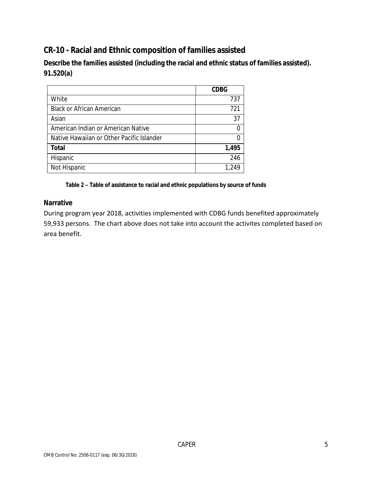# **CR-10 - Racial and Ethnic composition of families assisted**

**Describe the families assisted (including the racial and ethnic status of families assisted). 91.520(a)** 

|                                           | <b>CDBG</b> |
|-------------------------------------------|-------------|
| White                                     | 737         |
| <b>Black or African American</b>          | 721         |
| Asian                                     | 37          |
| American Indian or American Native        |             |
| Native Hawaiian or Other Pacific Islander |             |
| <b>Total</b>                              | 1,495       |
| Hispanic                                  | 246         |
| Not Hispanic                              | 1,249       |

**Table 2 – Table of assistance to racial and ethnic populations by source of funds**

#### **Narrative**

During program year 2018, activities implemented with CDBG funds benefited approximately 59,933 persons. The chart above does not take into account the activites completed based on area benefit.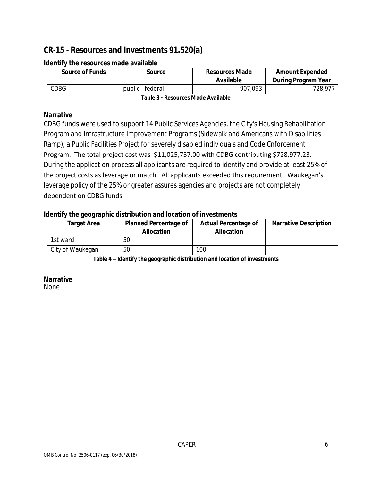# **CR-15 - Resources and Investments 91.520(a)**

| <b>Source of Funds</b> | Source           | <b>Resources Made</b><br>Available | <b>Amount Expended</b><br>During Program Year |
|------------------------|------------------|------------------------------------|-----------------------------------------------|
| CDBG                   | public - federal | 907,093                            | 728,977                                       |

#### **Identify the resources made available**

**Table 3 - Resources Made Available**

#### **Narrative**

CDBG funds were used to support 14 Public Services Agencies, the City's Housing Rehabilitation Program and Infrastructure Improvement Programs (Sidewalk and Americans with Disabilities Ramp), a Public Facilities Project for severely disabled individuals and Code Cnforcement Program. The total project cost was \$11,025,757.00 with CDBG contributing \$728,977.23. During the application process all applicants are required to identify and provide at least 25% of the project costs as leverage or match. All applicants exceeded this requirement. Waukegan's leverage policy of the 25% or greater assures agencies and projects are not completely dependent on CDBG funds.

#### **Identify the geographic distribution and location of investments**

| <b>Target Area</b> | <b>Planned Percentage of</b><br><b>Allocation</b> | <b>Actual Percentage of</b><br><b>Allocation</b> | <b>Narrative Description</b> |
|--------------------|---------------------------------------------------|--------------------------------------------------|------------------------------|
| 1st ward           | 50                                                |                                                  |                              |
| City of Waukegan   | 50                                                | 100                                              |                              |

**Table 4 – Identify the geographic distribution and location of investments**

#### **Narrative**

None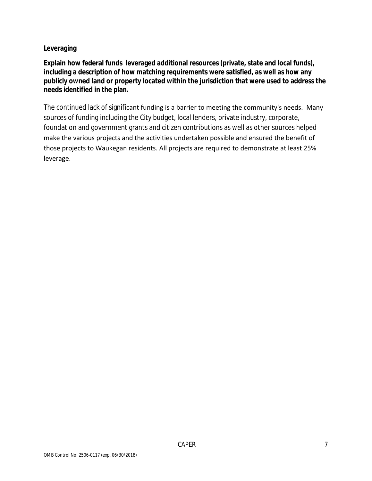#### **Leveraging**

**Explain how federal funds leveraged additional resources (private, state and local funds), including a description of how matching requirements were satisfied, as well as how any publicly owned land or property located within the jurisdiction that were used to address the needs identified in the plan.**

The continued lack of significant funding is a barrier to meeting the community's needs. Many sources of funding including the City budget, local lenders, private industry, corporate, foundation and government grants and citizen contributions as well as other sources helped make the various projects and the activities undertaken possible and ensured the benefit of those projects to Waukegan residents. All projects are required to demonstrate at least 25% leverage.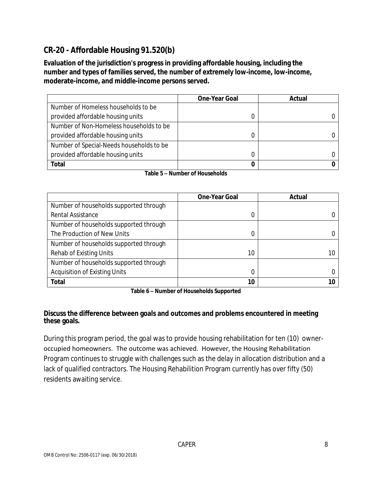# **CR-20 - Affordable Housing 91.520(b)**

**Evaluation of the jurisdiction's progress in providing affordable housing, including the number and types of families served, the number of extremely low-income, low-income, moderate-income, and middle-income persons served.**

|                                          | <b>One-Year Goal</b> | Actual |
|------------------------------------------|----------------------|--------|
| Number of Homeless households to be      |                      |        |
| provided affordable housing units        |                      |        |
| Number of Non-Homeless households to be  |                      |        |
| provided affordable housing units        |                      |        |
| Number of Special-Needs households to be |                      |        |
| provided affordable housing units        |                      |        |
| Total                                    |                      |        |

|  | Table 5 - Number of Households |
|--|--------------------------------|
|--|--------------------------------|

|                                        | <b>One-Year Goal</b> | Actual |
|----------------------------------------|----------------------|--------|
| Number of households supported through |                      |        |
| Rental Assistance                      | 0                    |        |
| Number of households supported through |                      |        |
| The Production of New Units            | 0                    |        |
| Number of households supported through |                      |        |
| Rehab of Existing Units                | 10                   | 10     |
| Number of households supported through |                      |        |
| <b>Acquisition of Existing Units</b>   | 0                    |        |
| <b>Total</b>                           | 10                   |        |

**Table 6 – Number of Households Supported**

#### **Discuss the difference between goals and outcomes and problems encountered in meeting these goals.**

During this program period, the goal was to provide housing rehabilitation for ten (10) owneroccupied homeowners. The outcome was achieved. However, the Housing Rehabilitation Program continues to struggle with challenges such as the delay in allocation distribution and a lack of qualified contractors. The Housing Rehabilition Program currently has over fifty (50) residents awaiting service.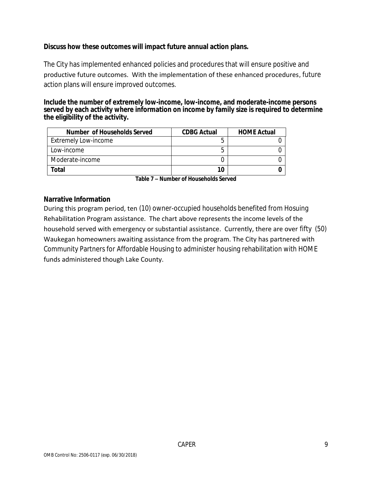#### **Discuss how these outcomes will impact future annual action plans.**

The City has implemented enhanced policies and procedures that will ensure positive and productive future outcomes. With the implementation of these enhanced procedures, future action plans will ensure improved outcomes.

#### **Include the number of extremely low-income, low-income, and moderate-income persons served by each activity where information on income by family size is required to determine the eligibility of the activity.**

| Number of Households Served | <b>CDBG Actual</b> | <b>HOME Actual</b> |
|-----------------------------|--------------------|--------------------|
| Extremely Low-income        |                    |                    |
| Low-income                  |                    |                    |
| Moderate-income             |                    |                    |
| Total                       | 10                 |                    |

**Table 7 – Number of Households Served**

#### **Narrative Information**

During this program period, ten (10) owner-occupied households benefited from Hosuing Rehabilitation Program assistance. The chart above represents the income levels of the household served with emergency or substantial assistance. Currently, there are over fifty (50) Waukegan homeowners awaiting assistance from the program. The City has partnered with Community Partners for Affordable Housing to administer housing rehabilitation with HOME funds administered though Lake County.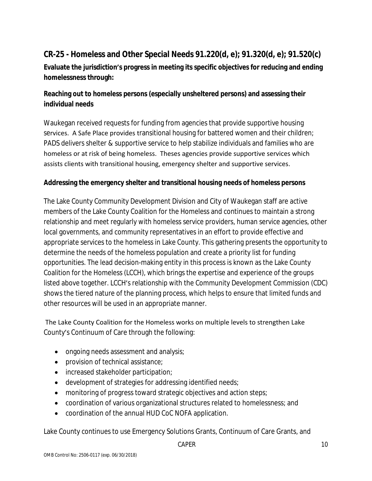# **CR-25 - Homeless and Other Special Needs 91.220(d, e); 91.320(d, e); 91.520(c)**

**Evaluate the jurisdiction's progress in meeting its specific objectives for reducing and ending homelessness through:**

# **Reaching out to homeless persons (especially unsheltered persons) and assessing their individual needs**

Waukegan received requests for funding from agencies that provide supportive housing services. A Safe Place provides transitional housing for battered women and their children; PADS delivers shelter & supportive service to help stabilize individuals and families who are homeless or at risk of being homeless. Theses agencies provide supportive services which assists clients with transitional housing, emergency shelter and supportive services.

#### **Addressing the emergency shelter and transitional housing needs of homeless persons**

The Lake County Community Development Division and City of Waukegan staff are active members of the Lake County Coalition for the Homeless and continues to maintain a strong relationship and meet regularly with homeless service providers, human service agencies, other local governments, and community representatives in an effort to provide effective and appropriate services to the homeless in Lake County. This gathering presents the opportunity to determine the needs of the homeless population and create a priority list for funding opportunities. The lead decision-making entity in this process is known as the Lake County Coalition for the Homeless (LCCH), which brings the expertise and experience of the groups listed above together. LCCH's relationship with the Community Development Commission (CDC) shows the tiered nature of the planning process, which helps to ensure that limited funds and other resources will be used in an appropriate manner.

 The Lake County Coalition for the Homeless works on multiple levels to strengthen Lake County's Continuum of Care through the following:

- ongoing needs assessment and analysis;
- **•** provision of technical assistance;
- increased stakeholder participation;
- development of strategies for addressing identified needs;
- monitoring of progress toward strategic objectives and action steps;
- coordination of various organizational structures related to homelessness; and
- coordination of the annual HUD CoC NOFA application.

Lake County continues to use Emergency Solutions Grants, Continuum of Care Grants, and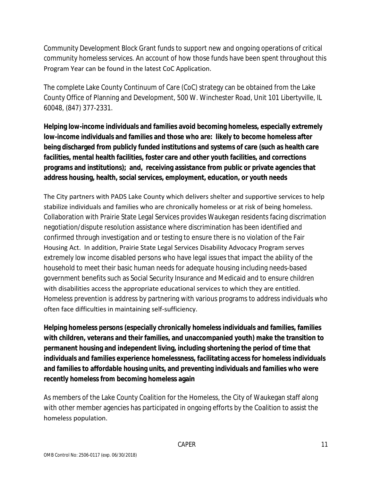Community Development Block Grant funds to support new and ongoing operations of critical community homeless services. An account of how those funds have been spent throughout this Program Year can be found in the latest CoC Application.

The complete Lake County Continuum of Care (CoC) strategy can be obtained from the Lake County Office of Planning and Development, 500 W. Winchester Road, Unit 101 Libertyville, IL 60048, (847) 377-2331.

**Helping low-income individuals and families avoid becoming homeless, especially extremely low-income individuals and families and those who are: likely to become homeless after being discharged from publicly funded institutions and systems of care (such as health care facilities, mental health facilities, foster care and other youth facilities, and corrections programs and institutions); and, receiving assistance from public or private agencies that address housing, health, social services, employment, education, or youth needs**

The City partners with PADS Lake County which delivers shelter and supportive services to help stabilize individuals and families who are chronically homeless or at risk of being homeless. Collaboration with Prairie State Legal Services provides Waukegan residents facing discrimation negotiation/dispute resolution assistance where discrimination has been identified and confirmed through investigation and or testing to ensure there is no violation of the Fair Housing Act. In addition, Prairie State Legal Services Disability Advocacy Program serves extremely low income disabled persons who have legal issues that impact the ability of the household to meet their basic human needs for adequate housing including needs-based government benefits such as Social Security Insurance and Medicaid and to ensure children with disabilities access the appropriate educational services to which they are entitled. Homeless prevention is address by partnering with various programs to address individuals who often face difficulties in maintaining self-sufficiency.

**Helping homeless persons (especially chronically homeless individuals and families, families with children, veterans and their families, and unaccompanied youth) make the transition to permanent housing and independent living, including shortening the period of time that individuals and families experience homelessness, facilitating access for homeless individuals and families to affordable housing units, and preventing individuals and families who were recently homeless from becoming homeless again**

As members of the Lake County Coalition for the Homeless, the City of Waukegan staff along with other member agencies has participated in ongoing efforts by the Coalition to assist the homeless population.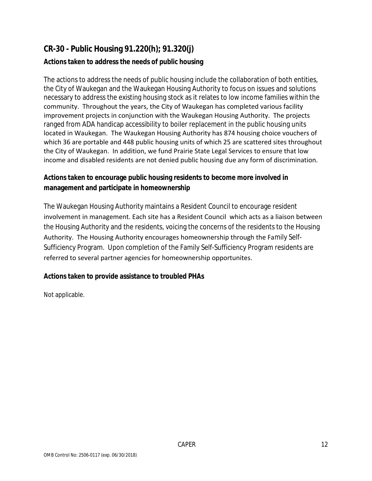# **CR-30 - Public Housing 91.220(h); 91.320(j)**

## **Actions taken to address the needs of public housing**

The actions to address the needs of public housing include the collaboration of both entities, the City of Waukegan and the Waukegan Housing Authority to focus on issues and solutions necessary to address the existing housing stock as it relates to low income families within the community. Throughout the years, the City of Waukegan has completed various facility improvement projects in conjunction with the Waukegan Housing Authority. The projects ranged from ADA handicap accessibility to boiler replacement in the public housing units located in Waukegan. The Waukegan Housing Authority has 874 housing choice vouchers of which 36 are portable and 448 public housing units of which 25 are scattered sites throughout the City of Waukegan. In addition, we fund Prairie State Legal Services to ensure that low income and disabled residents are not denied public housing due any form of discrimination.

## **Actions taken to encourage public housing residents to become more involved in management and participate in homeownership**

The Waukegan Housing Authority maintains a Resident Council to encourage resident involvement in management. Each site has a Resident Council which acts as a liaison between the Housing Authority and the residents, voicing the concerns of the residents to the Housing Authority. The Housing Authority encourages homeownership through the Family Self-Sufficiency Program. Upon completion of the Family Self-Sufficiency Program residents are referred to several partner agencies for homeownership opportunites.

## **Actions taken to provide assistance to troubled PHAs**

Not applicable.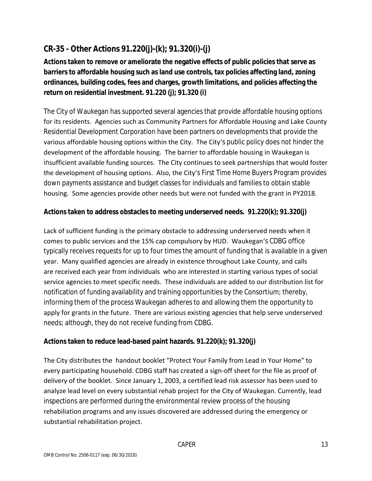# **CR-35 - Other Actions 91.220(j)-(k); 91.320(i)-(j)**

**Actions taken to remove or ameliorate the negative effects of public policies that serve as barriers to affordable housing such as land use controls, tax policies affecting land, zoning ordinances, building codes, fees and charges, growth limitations, and policies affecting the return on residential investment. 91.220 (j); 91.320 (i)**

The City of Waukegan has supported several agencies that provide affordable housing options for its residents. Agencies such as Community Partners for Affordable Housing and Lake County Residential Development Corporation have been partners on developments that provide the various affordable housing options within the City. The City's public policy does not hinder the development of the affordable housing. The barrier to affordable housing in Waukegan is insufficient available funding sources. The City continues to seek partnerships that would foster the development of housing options. Also, the City's First Time Home Buyers Program provides down payments assistance and budget classes for individuals and families to obtain stable housing. Some agencies provide other needs but were not funded with the grant in PY2018.

## **Actions taken to address obstacles to meeting underserved needs. 91.220(k); 91.320(j)**

Lack of sufficient funding is the primary obstacle to addressing underserved needs when it comes to public services and the 15% cap compulsory by HUD. Waukegan's CDBG office typically receives requests for up to four times the amount of funding that is available in a given year. Many qualified agencies are already in existence throughout Lake County, and calls are received each year from individuals who are interested in starting various types of social service agencies to meet specific needs. These individuals are added to our distribution list for notification of funding availability and training opportunities by the Consortium; thereby, informing them of the process Waukegan adheres to and allowing them the opportunity to apply for grants in the future. There are various existing agencies that help serve underserved needs; although, they do not receive funding from CDBG.

#### **Actions taken to reduce lead-based paint hazards. 91.220(k); 91.320(j)**

The City distributes the handout booklet "Protect Your Family from Lead in Your Home" to every participating household. CDBG staff has created a sign-off sheet for the file as proof of delivery of the booklet. Since January 1, 2003, a certified lead risk assessor has been used to analyze lead level on every substantial rehab project for the City of Waukegan. Currently, lead inspections are performed during the environmental review process of the housing rehabiliation programs and any issues discovered are addressed during the emergency or substantial rehabilitation project.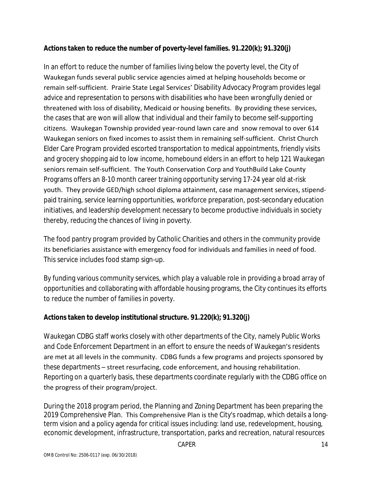## **Actions taken to reduce the number of poverty-level families. 91.220(k); 91.320(j)**

In an effort to reduce the number of families living below the poverty level, the City of Waukegan funds several public service agencies aimed at helping households become or remain self-sufficient. Prairie State Legal Services' Disability Advocacy Program provides legal advice and representation to persons with disabilities who have been wrongfully denied or threatened with loss of disability, Medicaid or housing benefits. By providing these services, the cases that are won will allow that individual and their family to become self-supporting citizens. Waukegan Township provided year-round lawn care and snow removal to over 614 Waukegan seniors on fixed incomes to assist them in remaining self-sufficient. Christ Church Elder Care Program provided escorted transportation to medical appointments, friendly visits and grocery shopping aid to low income, homebound elders in an effort to help 121 Waukegan seniors remain self-sufficient. The Youth Conservation Corp and YouthBuild Lake County Programs offers an 8-10 month career training opportunity serving 17-24 year old at-risk youth. They provide GED/high school diploma attainment, case management services, stipendpaid training, service learning opportunities, workforce preparation, post-secondary education initiatives, and leadership development necessary to become productive individuals in society thereby, reducing the chances of living in poverty.

The food pantry program provided by Catholic Charities and others in the community provide its beneficiaries assistance with emergency food for individuals and families in need of food. This service includes food stamp sign-up.

By funding various community services, which play a valuable role in providing a broad array of opportunities and collaborating with affordable housing programs, the City continues its efforts to reduce the number of families in poverty.

## **Actions taken to develop institutional structure. 91.220(k); 91.320(j)**

Waukegan CDBG staff works closely with other departments of the City, namely Public Works and Code Enforcement Department in an effort to ensure the needs of Waukegan's residents are met at all levels in the community. CDBG funds a few programs and projects sponsored by these departments – street resurfacing, code enforcement, and housing rehabilitation. Reporting on a quarterly basis, these departments coordinate regularly with the CDBG office on the progress of their program/project.

During the 2018 program period, the Planning and Zoning Department has been preparing the 2019 Comprehensive Plan. This Comprehensive Plan is the City's roadmap, which details a longterm vision and a policy agenda for critical issues including: land use, redevelopment, housing, economic development, infrastructure, transportation, parks and recreation, natural resources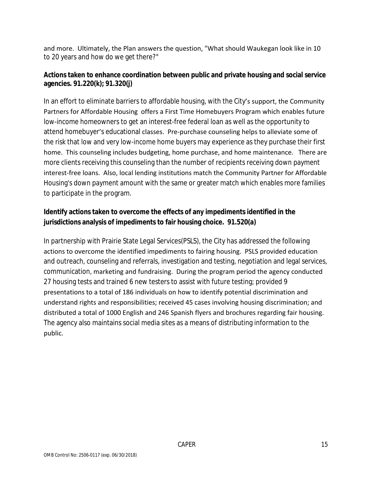and more. Ultimately, the Plan answers the question, "What should Waukegan look like in 10 to 20 years and how do we get there?"

#### **Actions taken to enhance coordination between public and private housing and social service agencies. 91.220(k); 91.320(j)**

In an effort to eliminate barriers to affordable housing, with the City's support, the Community Partners for Affordable Housing offers a First Time Homebuyers Program which enables future low-income homeowners to get an interest-free federal loan as well as the opportunity to attend homebuyer's educational classes. Pre-purchase counseling helps to alleviate some of the risk that low and very low-income home buyers may experience as they purchase their first home. This counseling includes budgeting, home purchase, and home maintenance. There are more clients receiving this counseling than the number of recipients receiving down payment interest-free loans. Also, local lending institutions match the Community Partner for Affordable Housing's down payment amount with the same or greater match which enables more families to participate in the program.

## **Identify actions taken to overcome the effects of any impediments identified in the jurisdictions analysis of impediments to fair housing choice. 91.520(a)**

In partnership with Prairie State Legal Services(PSLS), the City has addressed the following actions to overcome the identified impediments to fairing housing. PSLS provided education and outreach, counseling and referrals, investigation and testing, negotiation and legal services, communication, marketing and fundraising. During the program period the agency conducted 27 housing tests and trained 6 new testers to assist with future testing; provided 9 presentations to a total of 186 individuals on how to identify potential discrimination and understand rights and responsibilities; received 45 cases involving housing discrimination; and distributed a total of 1000 English and 246 Spanish flyers and brochures regarding fair housing. The agency also maintains social media sites as a means of distributing information to the public.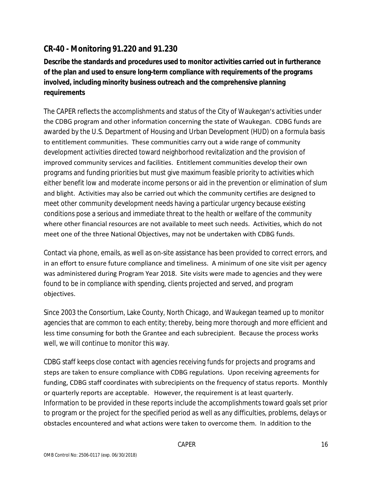# **CR-40 - Monitoring 91.220 and 91.230**

**Describe the standards and procedures used to monitor activities carried out in furtherance of the plan and used to ensure long-term compliance with requirements of the programs involved, including minority business outreach and the comprehensive planning requirements**

The CAPER reflects the accomplishments and status of the City of Waukegan's activities under the CDBG program and other information concerning the state of Waukegan. CDBG funds are awarded by the U.S. Department of Housing and Urban Development (HUD) on a formula basis to entitlement communities. These communities carry out a wide range of community development activities directed toward neighborhood revitalization and the provision of improved community services and facilities. Entitlement communities develop their own programs and funding priorities but must give maximum feasible priority to activities which either benefit low and moderate income persons or aid in the prevention or elimination of slum and blight. Activities may also be carried out which the community certifies are designed to meet other community development needs having a particular urgency because existing conditions pose a serious and immediate threat to the health or welfare of the community where other financial resources are not available to meet such needs. Activities, which do not meet one of the three National Objectives, may not be undertaken with CDBG funds.

Contact via phone, emails, as well as on-site assistance has been provided to correct errors, and in an effort to ensure future compliance and timeliness. A minimum of one site visit per agency was administered during Program Year 2018. Site visits were made to agencies and they were found to be in compliance with spending, clients projected and served, and program objectives.

Since 2003 the Consortium, Lake County, North Chicago, and Waukegan teamed up to monitor agencies that are common to each entity; thereby, being more thorough and more efficient and less time consuming for both the Grantee and each subrecipient. Because the process works well, we will continue to monitor this way.

CDBG staff keeps close contact with agencies receiving funds for projects and programs and steps are taken to ensure compliance with CDBG regulations. Upon receiving agreements for funding, CDBG staff coordinates with subrecipients on the frequency of status reports. Monthly or quarterly reports are acceptable. However, the requirement is at least quarterly. Information to be provided in these reports include the accomplishments toward goals set prior to program or the project for the specified period as well as any difficulties, problems, delays or obstacles encountered and what actions were taken to overcome them. In addition to the